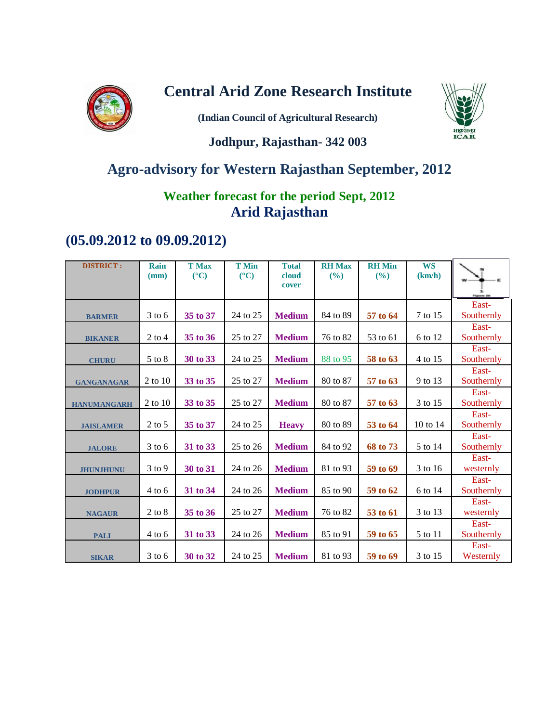

## **Central Arid Zone Research Institute**

**(Indian Council of Agricultural Research)**



## **Jodhpur, Rajasthan- 342 003**

# **Agro-advisory for Western Rajasthan September, 2012**

## **Weather forecast for the period Sept, 2012 Arid Rajasthan**

## **(05.09.2012 to 09.09.2012)**

| <b>DISTRICT:</b>   | Rain<br>(mm) | <b>T</b> Max<br>$(^{\circ}C)$ | <b>T</b> Min<br>$(^{\circ}C)$ | <b>Total</b><br>cloud<br>cover | <b>RH</b> Max<br>(%) | <b>RH</b> Min<br>$($ %) | <b>WS</b><br>(km/h) |                     |
|--------------------|--------------|-------------------------------|-------------------------------|--------------------------------|----------------------|-------------------------|---------------------|---------------------|
|                    |              |                               |                               |                                |                      |                         |                     |                     |
| <b>BARMER</b>      | $3$ to 6     | 35 to 37                      | 24 to 25                      | <b>Medium</b>                  | 84 to 89             | 57 to 64                | 7 to 15             | East-<br>Southernly |
| <b>BIKANER</b>     | $2$ to 4     | 35 to 36                      | 25 to 27                      | <b>Medium</b>                  | 76 to 82             | 53 to 61                | 6 to 12             | East-<br>Southernly |
| <b>CHURU</b>       | 5 to 8       | 30 to 33                      | 24 to 25                      | <b>Medium</b>                  | 88 to 95             | 58 to 63                | 4 to 15             | East-<br>Southernly |
| <b>GANGANAGAR</b>  | 2 to 10      | 33 to 35                      | 25 to 27                      | <b>Medium</b>                  | 80 to 87             | 57 to 63                | 9 to 13             | East-<br>Southernly |
| <b>HANUMANGARH</b> | 2 to 10      | 33 to 35                      | 25 to 27                      | <b>Medium</b>                  | 80 to 87             | 57 to 63                | 3 to 15             | East-<br>Southernly |
| <b>JAISLAMER</b>   | $2$ to 5     | 35 to 37                      | 24 to 25                      | <b>Heavy</b>                   | 80 to 89             | 53 to 64                | 10 to 14            | East-<br>Southernly |
| <b>JALORE</b>      | $3$ to 6     | 31 to 33                      | 25 to 26                      | <b>Medium</b>                  | 84 to 92             | 68 to 73                | 5 to 14             | East-<br>Southernly |
| <b>JHUNJHUNU</b>   | $3$ to $9$   | 30 to 31                      | 24 to 26                      | <b>Medium</b>                  | 81 to 93             | 59 to 69                | 3 to 16             | East-<br>westernly  |
| <b>JODHPUR</b>     | 4 to 6       | 31 to 34                      | 24 to 26                      | <b>Medium</b>                  | 85 to 90             | 59 to 62                | 6 to 14             | East-<br>Southernly |
| <b>NAGAUR</b>      | $2$ to $8$   | 35 to 36                      | 25 to 27                      | <b>Medium</b>                  | 76 to 82             | 53 to 61                | 3 to 13             | East-<br>westernly  |
| <b>PALI</b>        | $4$ to 6     | 31 to 33                      | 24 to 26                      | <b>Medium</b>                  | 85 to 91             | 59 to 65                | 5 to 11             | East-<br>Southernly |
| <b>SIKAR</b>       | $3$ to 6     | 30 to 32                      | 24 to 25                      | <b>Medium</b>                  | 81 to 93             | 59 to 69                | 3 to 15             | East-<br>Westernly  |